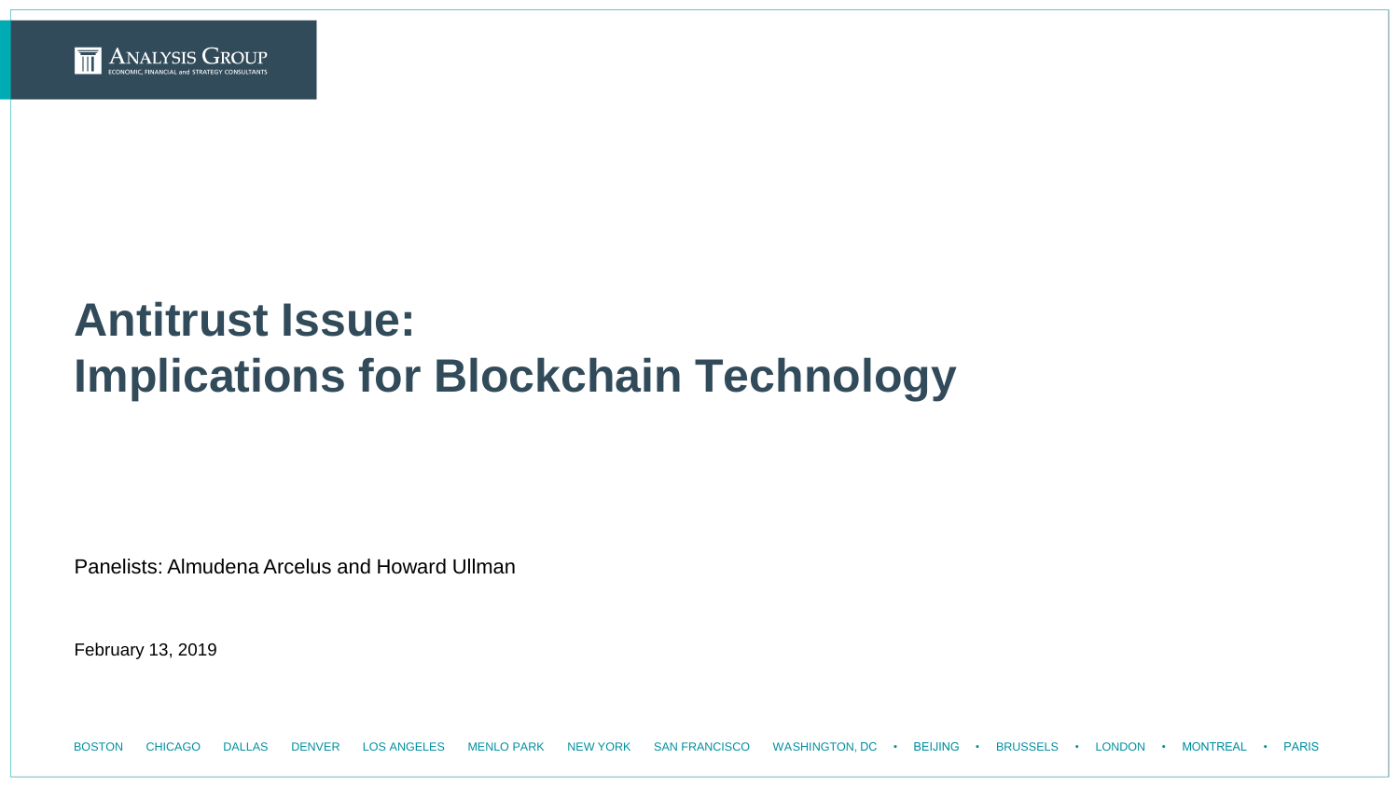

# **Antitrust Issue: Implications for Blockchain Technology**

Panelists: Almudena Arcelus and Howard Ullman

February 13, 2019

BOSTON CHICAGO DALLAS DENVER LOS ANGELES MENLO PARK NEW YORK SAN FRANCISCO WASHINGTON, DC • BEIJING • BRUSSELS • LONDON • MONTREAL • PARIS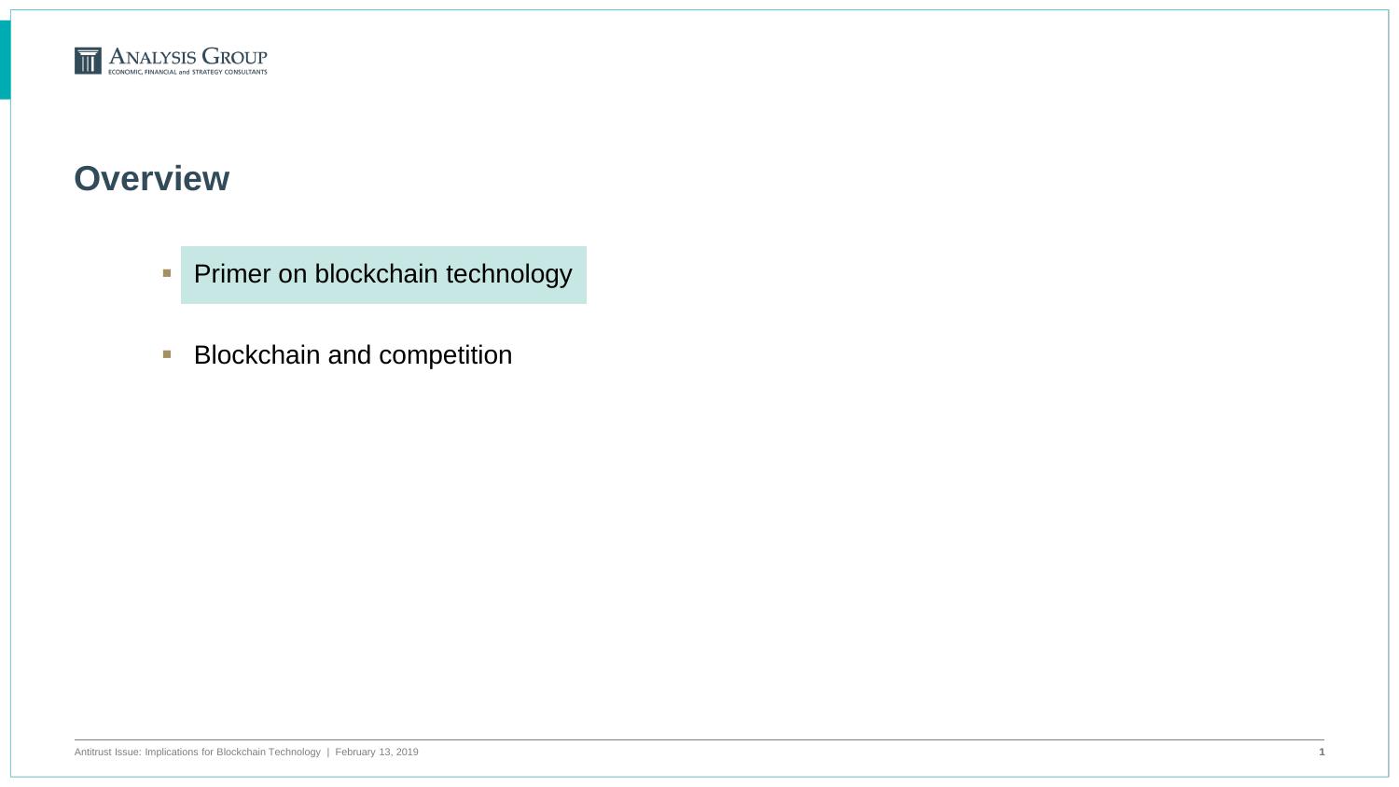

#### **Overview**

- **Primer on blockchain technology**
- **Blockchain and competition**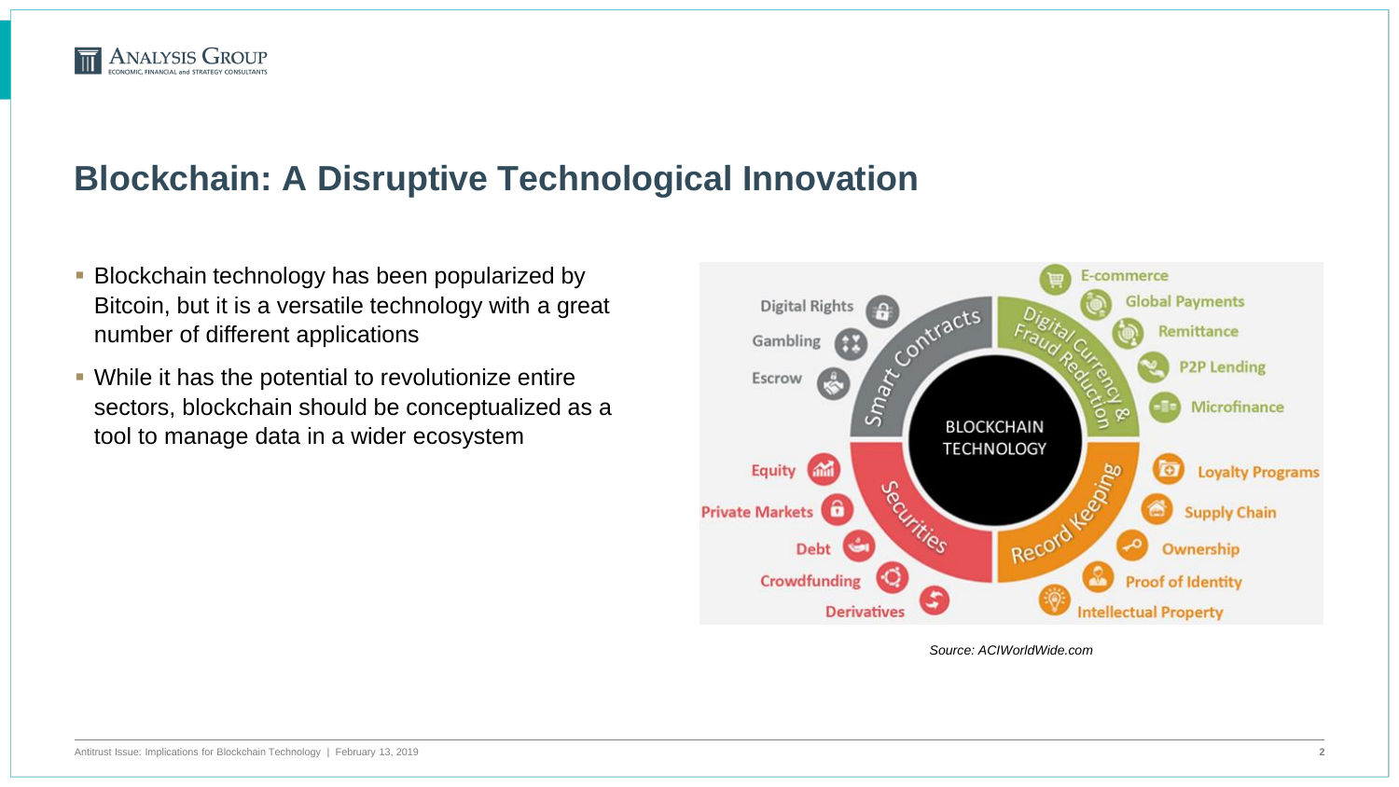

#### **Blockchain: A Disruptive Technological Innovation**

- **Blockchain technology has been popularized by** Bitcoin, but it is a versatile technology with a great number of different applications
- While it has the potential to revolutionize entire sectors, blockchain should be conceptualized as a tool to manage data in a wider ecosystem



*Source: ACIWorldWide.com*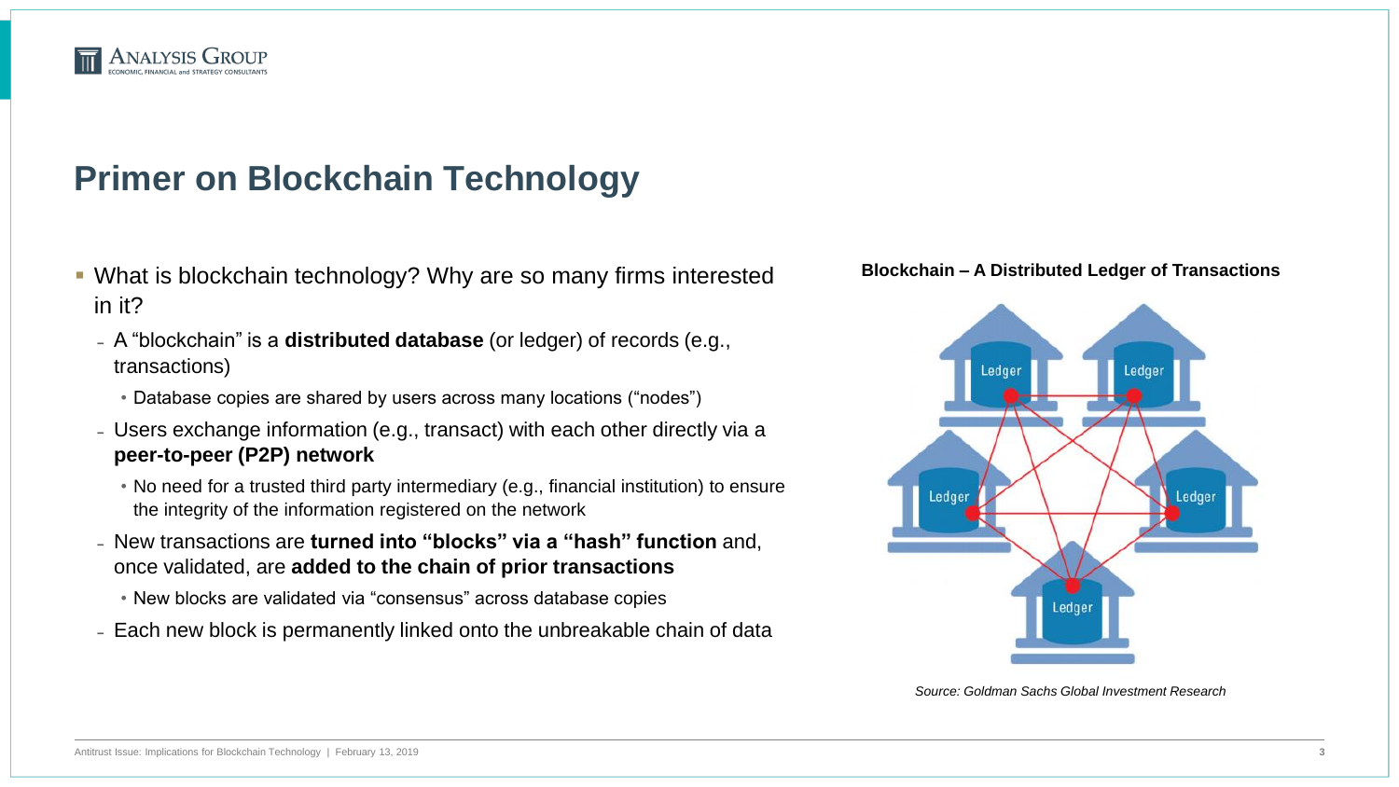

### **Primer on Blockchain Technology**

- What is blockchain technology? Why are so many firms interested in it?
	- ̵ A "blockchain" is a **distributed database** (or ledger) of records (e.g., transactions)
		- Database copies are shared by users across many locations ("nodes")
	- Users exchange information (e.g., transact) with each other directly via a **peer-to-peer (P2P) network**
		- No need for a trusted third party intermediary (e.g., financial institution) to ensure the integrity of the information registered on the network
	- ̵ New transactions are **turned into "blocks" via a "hash" function** and, once validated, are **added to the chain of prior transactions**
		- New blocks are validated via "consensus" across database copies
	- Each new block is permanently linked onto the unbreakable chain of data





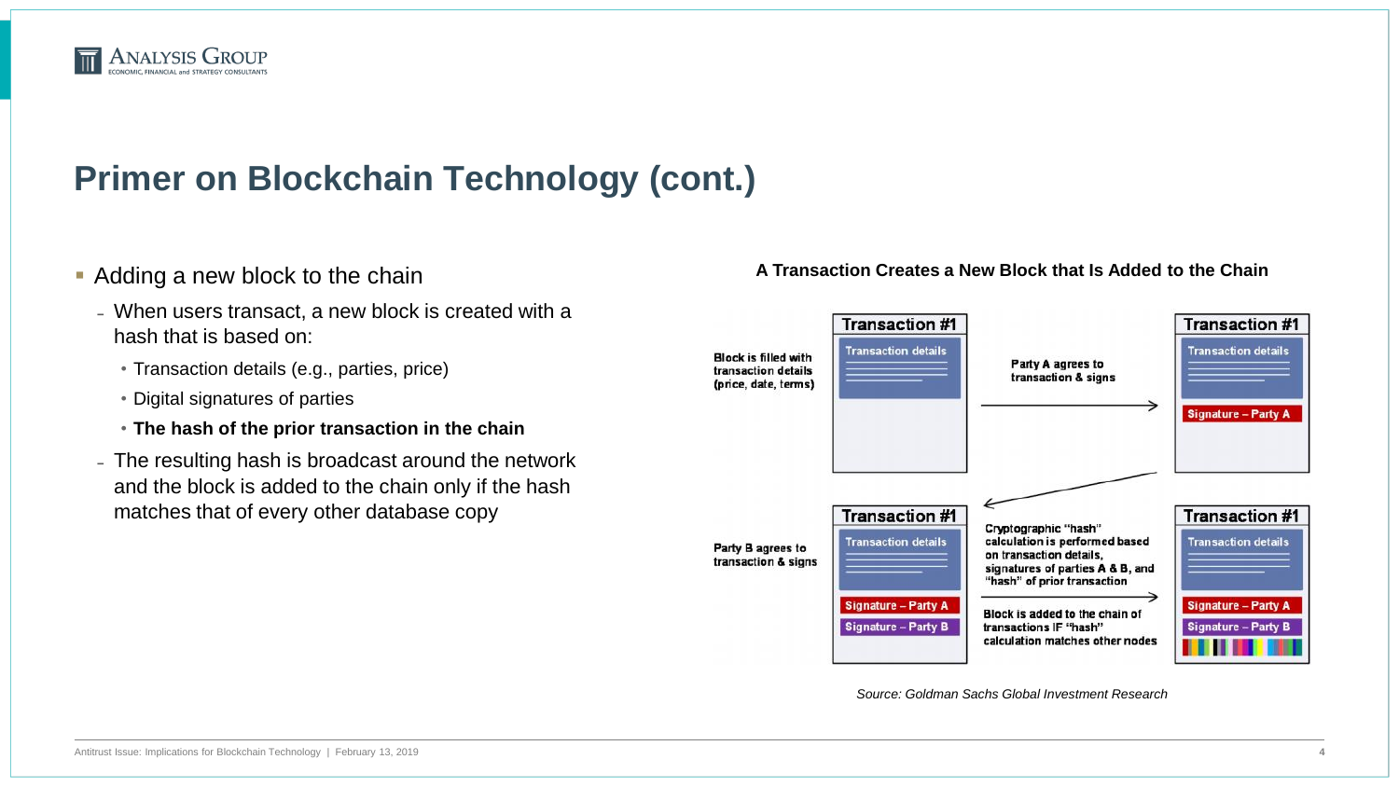

- Adding a new block to the chain
	- When users transact, a new block is created with a hash that is based on:
		- Transaction details (e.g., parties, price)
		- Digital signatures of parties
		- **The hash of the prior transaction in the chain**
	- The resulting hash is broadcast around the network and the block is added to the chain only if the hash matches that of every other database copy

#### **A Transaction Creates a New Block that Is Added to the Chain**



*Source: Goldman Sachs Global Investment Research*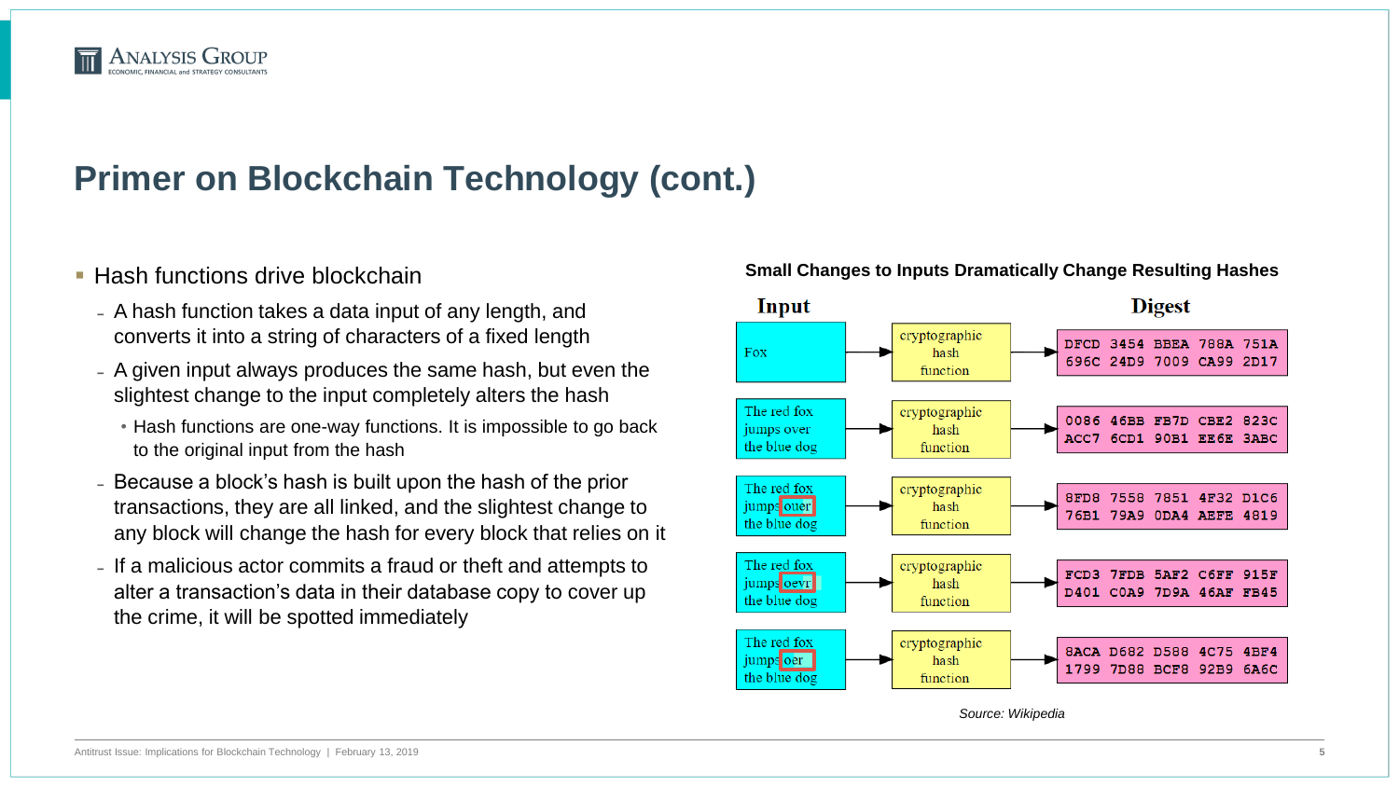

- **Hash functions drive blockchain** 
	- A hash function takes a data input of any length, and converts it into a string of characters of a fixed length
	- A given input always produces the same hash, but even the slightest change to the input completely alters the hash
		- Hash functions are one-way functions. It is impossible to go back to the original input from the hash
	- Because a block's hash is built upon the hash of the prior transactions, they are all linked, and the slightest change to any block will change the hash for every block that relies on it
	- If a malicious actor commits a fraud or theft and attempts to alter a transaction's data in their database copy to cover up the crime, it will be spotted immediately

#### **Small Changes to Inputs Dramatically Change Resulting Hashes**



*Source: Wikipedia*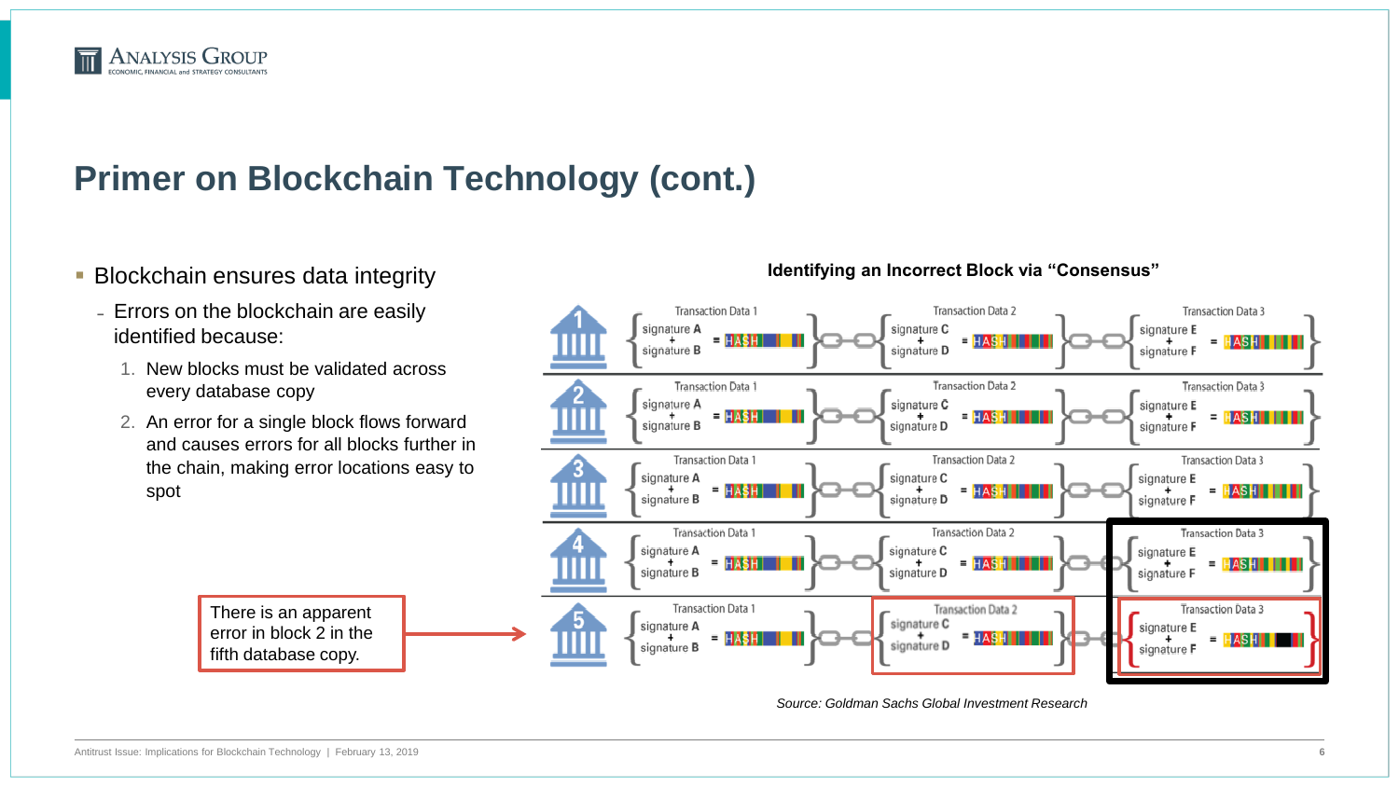

- **Blockchain ensures data integrity** 
	- Errors on the blockchain are easily identified because:
		- 1. New blocks must be validated across every database copy
		- 2. An error for a single block flows forward and causes errors for all blocks further in the chain, making error locations easy to spot

There is an apparent error in block 2 in the fifth database copy.

#### **Identifying an Incorrect Block via "Consensus"**



*Source: Goldman Sachs Global Investment Research*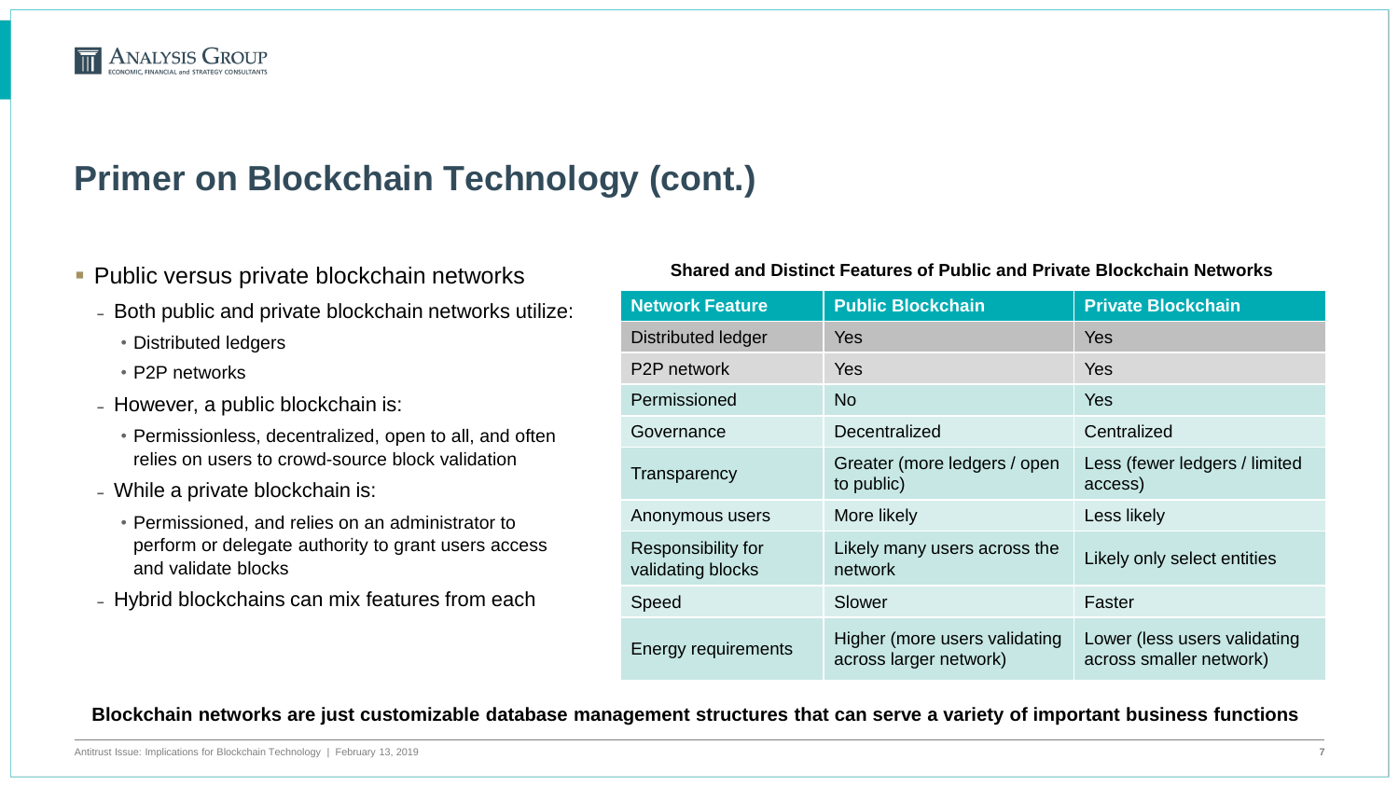

#### **Public versus private blockchain networks**

- Both public and private blockchain networks utilize:
	- Distributed ledgers
	- P2P networks
- However, a public blockchain is:
	- Permissionless, decentralized, open to all, and often relies on users to crowd-source block validation
- While a private blockchain is:
	- Permissioned, and relies on an administrator to perform or delegate authority to grant users access and validate blocks
- Hybrid blockchains can mix features from each

#### **Shared and Distinct Features of Public and Private Blockchain Networks**

| <b>Network Feature</b>                  | <b>Public Blockchain</b>                                | <b>Private Blockchain</b>                               |
|-----------------------------------------|---------------------------------------------------------|---------------------------------------------------------|
| <b>Distributed ledger</b>               | <b>Yes</b>                                              | Yes                                                     |
| P <sub>2</sub> P network                | <b>Yes</b>                                              | Yes                                                     |
| Permissioned                            | <b>No</b>                                               | Yes                                                     |
| Governance                              | Decentralized                                           | Centralized                                             |
| Transparency                            | Greater (more ledgers / open<br>to public)              | Less (fewer ledgers / limited<br>access)                |
| Anonymous users                         | More likely                                             | Less likely                                             |
| Responsibility for<br>validating blocks | Likely many users across the<br>network                 | Likely only select entities                             |
| Speed                                   | Slower                                                  | Faster                                                  |
| <b>Energy requirements</b>              | Higher (more users validating<br>across larger network) | Lower (less users validating<br>across smaller network) |

**Blockchain networks are just customizable database management structures that can serve a variety of important business functions**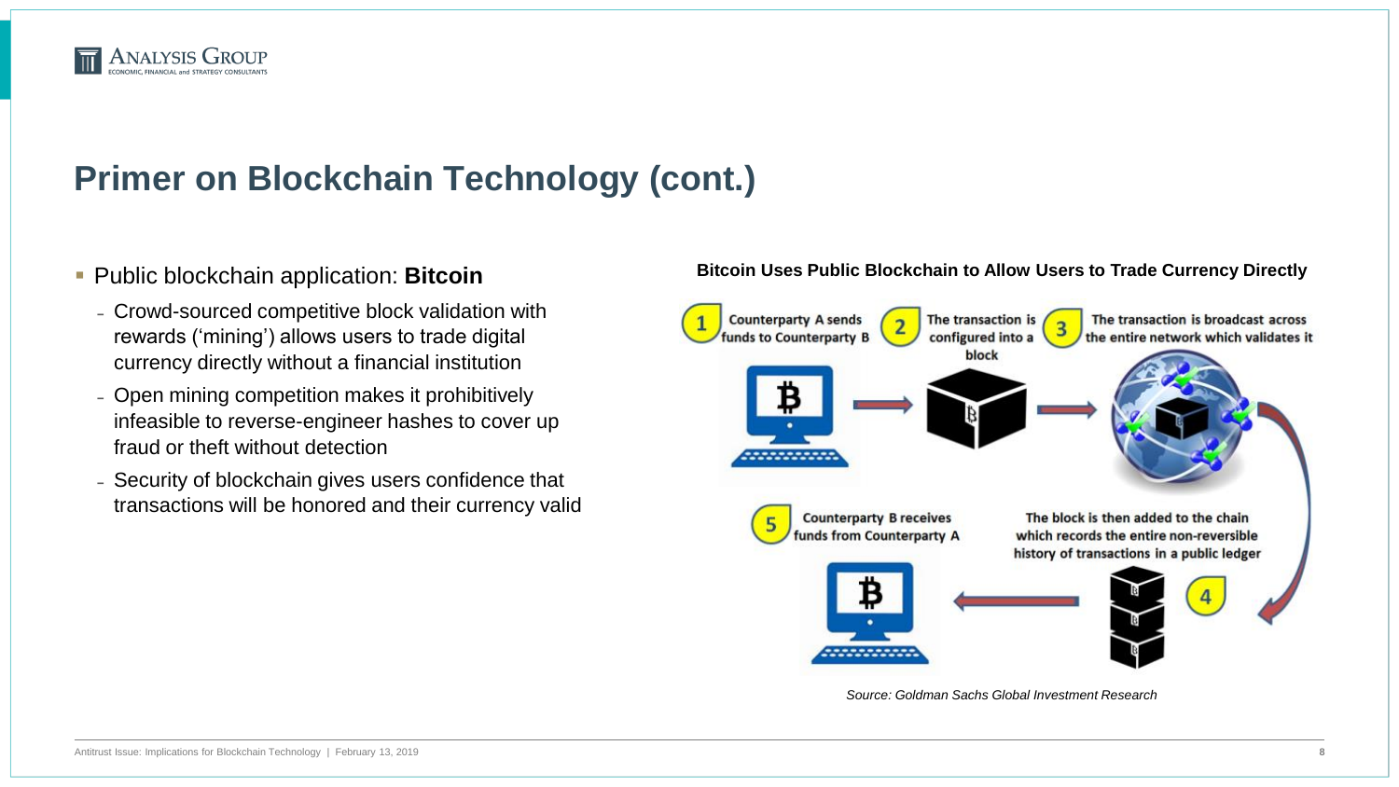

#### Public blockchain application: **Bitcoin**

- Crowd-sourced competitive block validation with rewards ('mining') allows users to trade digital currency directly without a financial institution
- Open mining competition makes it prohibitively infeasible to reverse-engineer hashes to cover up fraud or theft without detection
- Security of blockchain gives users confidence that transactions will be honored and their currency valid

#### **Bitcoin Uses Public Blockchain to Allow Users to Trade Currency Directly**



*Source: Goldman Sachs Global Investment Research*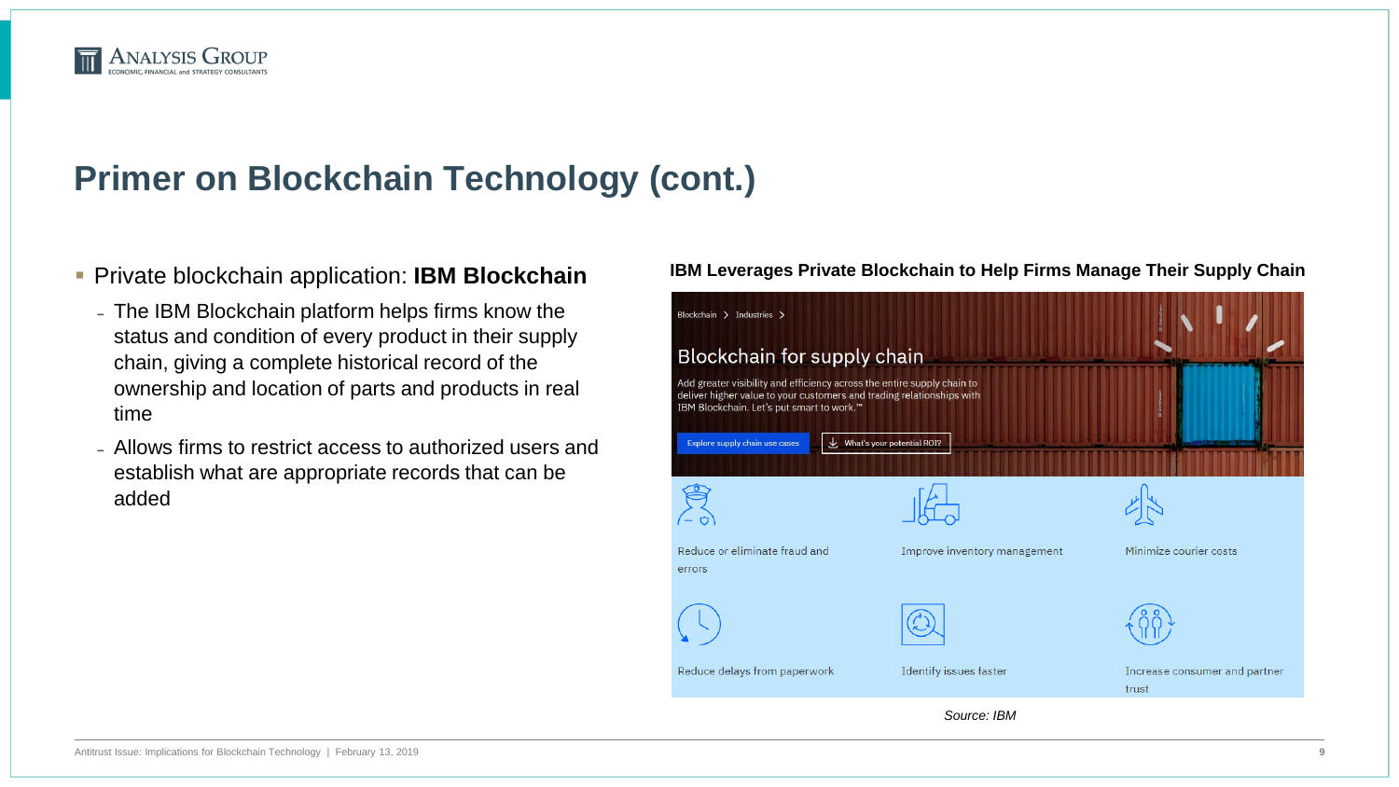#### **ANALYSIS GROUP**

## **Primer on Blockchain Technology (cont.)**

#### **Private blockchain application: <b>IBM Blockchain**

- The IBM Blockchain platform helps firms know the status and condition of every product in their supply chain, giving a complete historical record of the ownership and location of parts and products in real time
- Allows firms to restrict access to authorized users and establish what are appropriate records that can be added

#### **IBM Leverages Private Blockchain to Help Firms Manage Their Supply Chain**

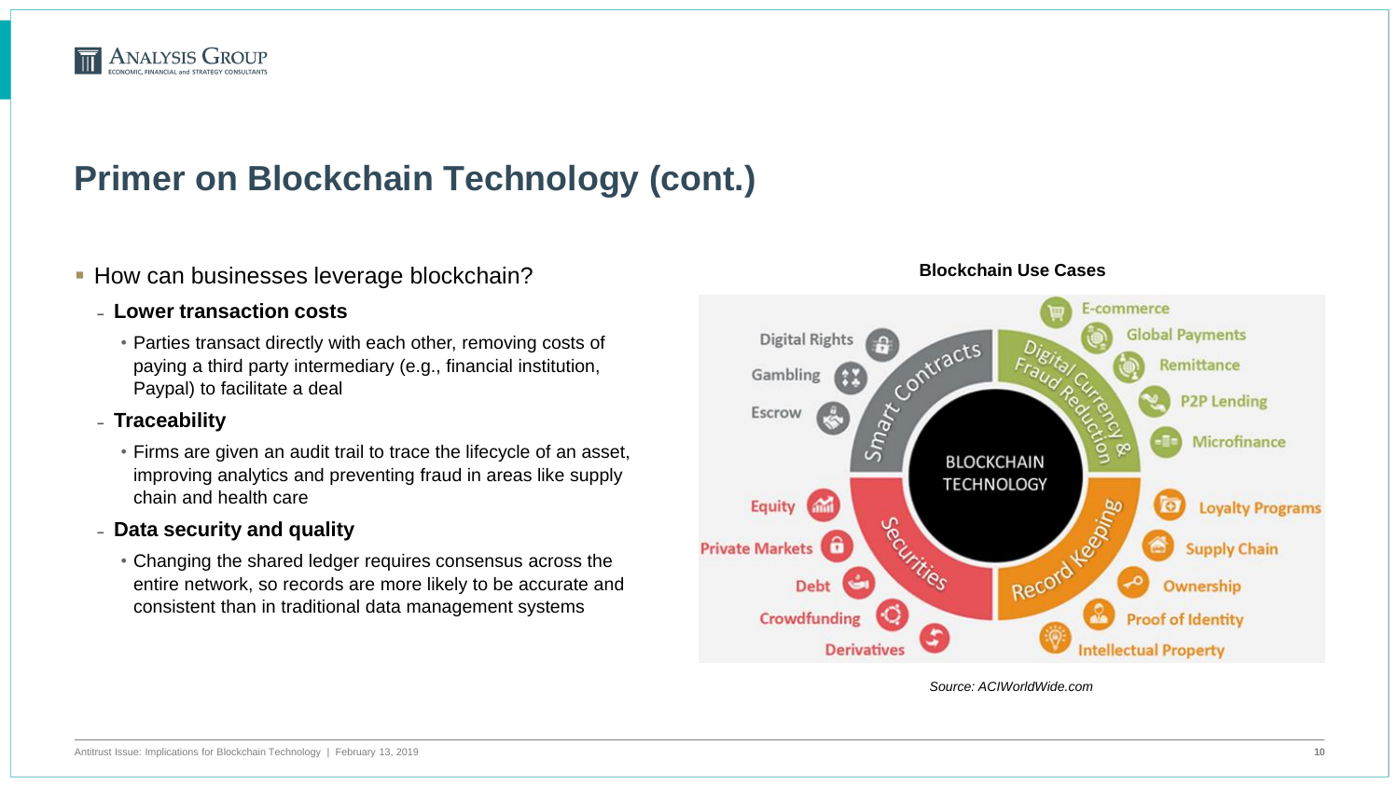

- **How can businesses leverage blockchain?** 
	- ̵ **Lower transaction costs**
		- Parties transact directly with each other, removing costs of paying a third party intermediary (e.g., financial institution, Paypal) to facilitate a deal
	- ̵ **Traceability**
		- Firms are given an audit trail to trace the lifecycle of an asset, improving analytics and preventing fraud in areas like supply chain and health care
	- ̵ **Data security and quality**
		- Changing the shared ledger requires consensus across the entire network, so records are more likely to be accurate and consistent than in traditional data management systems



*Source: ACIWorldWide.com*

#### **Blockchain Use Cases**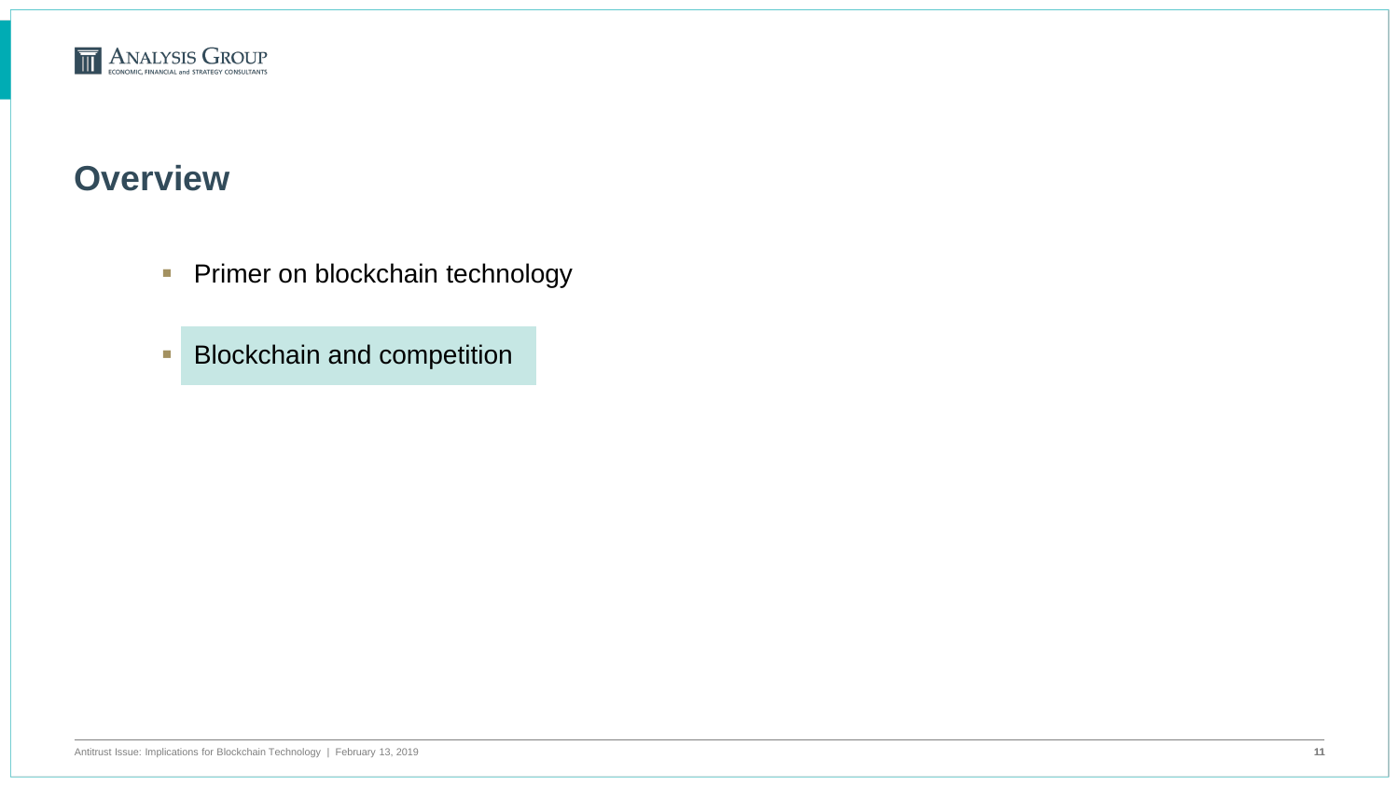

#### **Overview**

- **Primer on blockchain technology**
- **Blockchain and competition**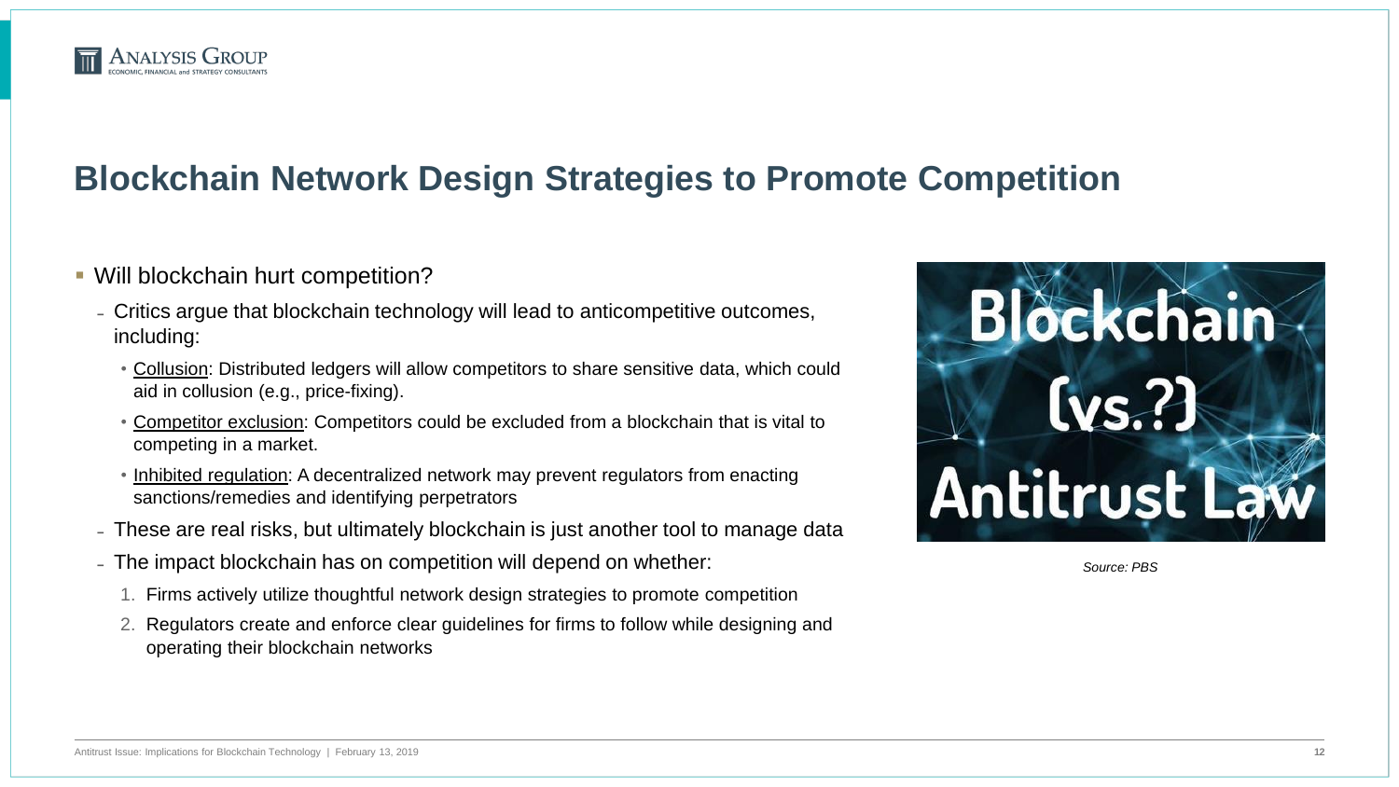

- Will blockchain hurt competition?
	- Critics argue that blockchain technology will lead to anticompetitive outcomes, including:
		- Collusion: Distributed ledgers will allow competitors to share sensitive data, which could aid in collusion (e.g., price-fixing).
		- Competitor exclusion: Competitors could be excluded from a blockchain that is vital to competing in a market.
		- Inhibited regulation: A decentralized network may prevent regulators from enacting sanctions/remedies and identifying perpetrators
	- These are real risks, but ultimately blockchain is just another tool to manage data
	- The impact blockchain has on competition will depend on whether:
		- 1. Firms actively utilize thoughtful network design strategies to promote competition
		- 2. Regulators create and enforce clear guidelines for firms to follow while designing and operating their blockchain networks

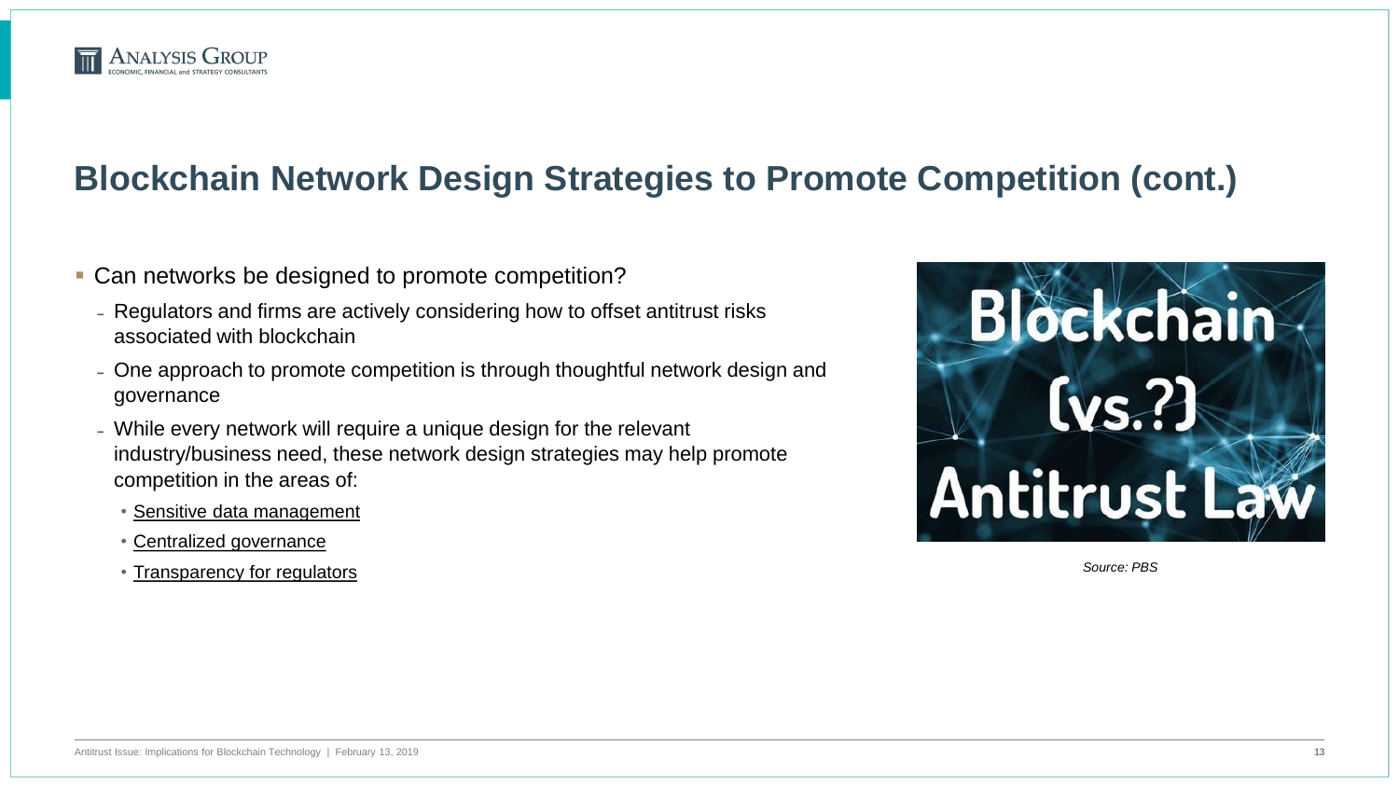

- **Can networks be designed to promote competition?** 
	- Regulators and firms are actively considering how to offset antitrust risks associated with blockchain
	- One approach to promote competition is through thoughtful network design and governance
	- While every network will require a unique design for the relevant industry/business need, these network design strategies may help promote competition in the areas of:
		- Sensitive data management
		- Centralized governance
		- Transparency for regulators

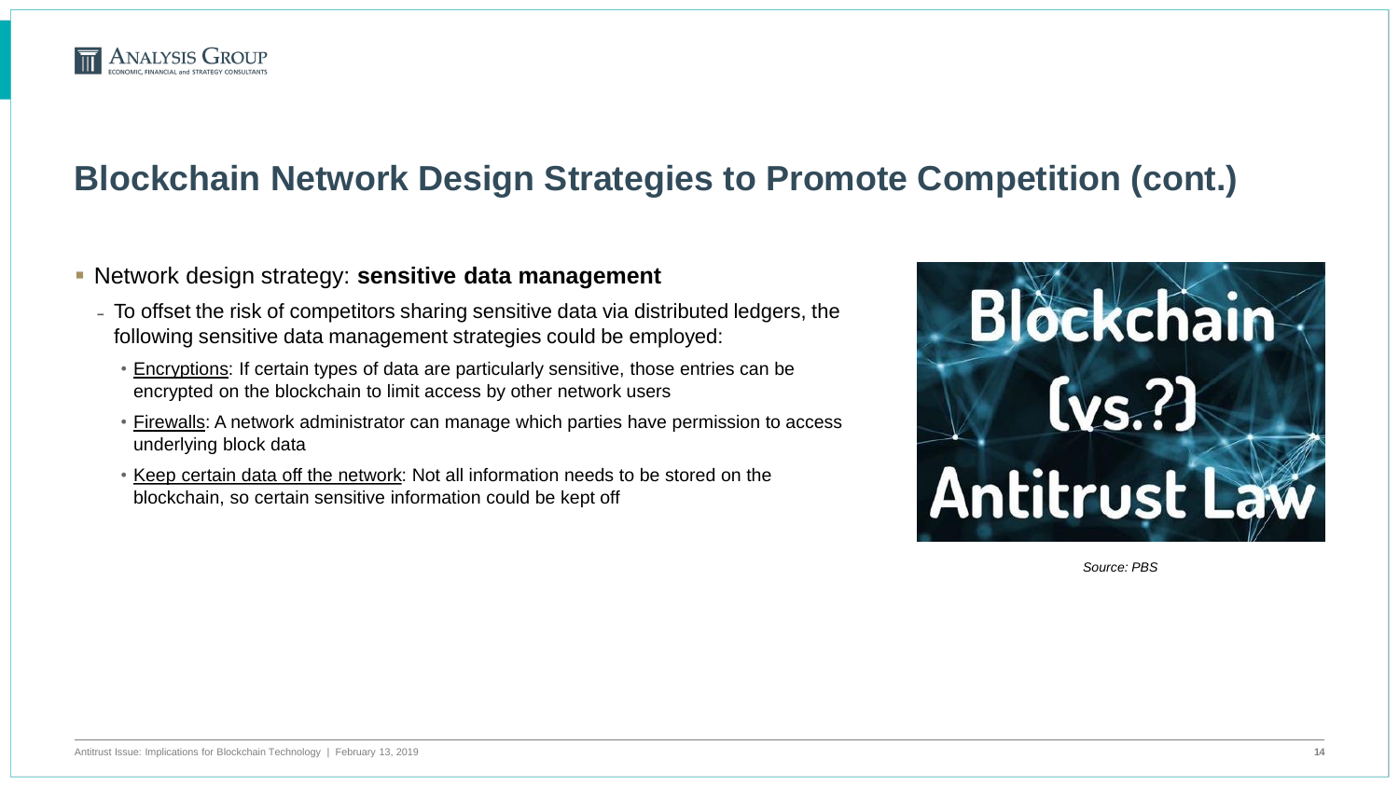

#### Network design strategy: **sensitive data management**

- To offset the risk of competitors sharing sensitive data via distributed ledgers, the following sensitive data management strategies could be employed:
	- Encryptions: If certain types of data are particularly sensitive, those entries can be encrypted on the blockchain to limit access by other network users
	- Firewalls: A network administrator can manage which parties have permission to access underlying block data
	- Keep certain data off the network: Not all information needs to be stored on the blockchain, so certain sensitive information could be kept off

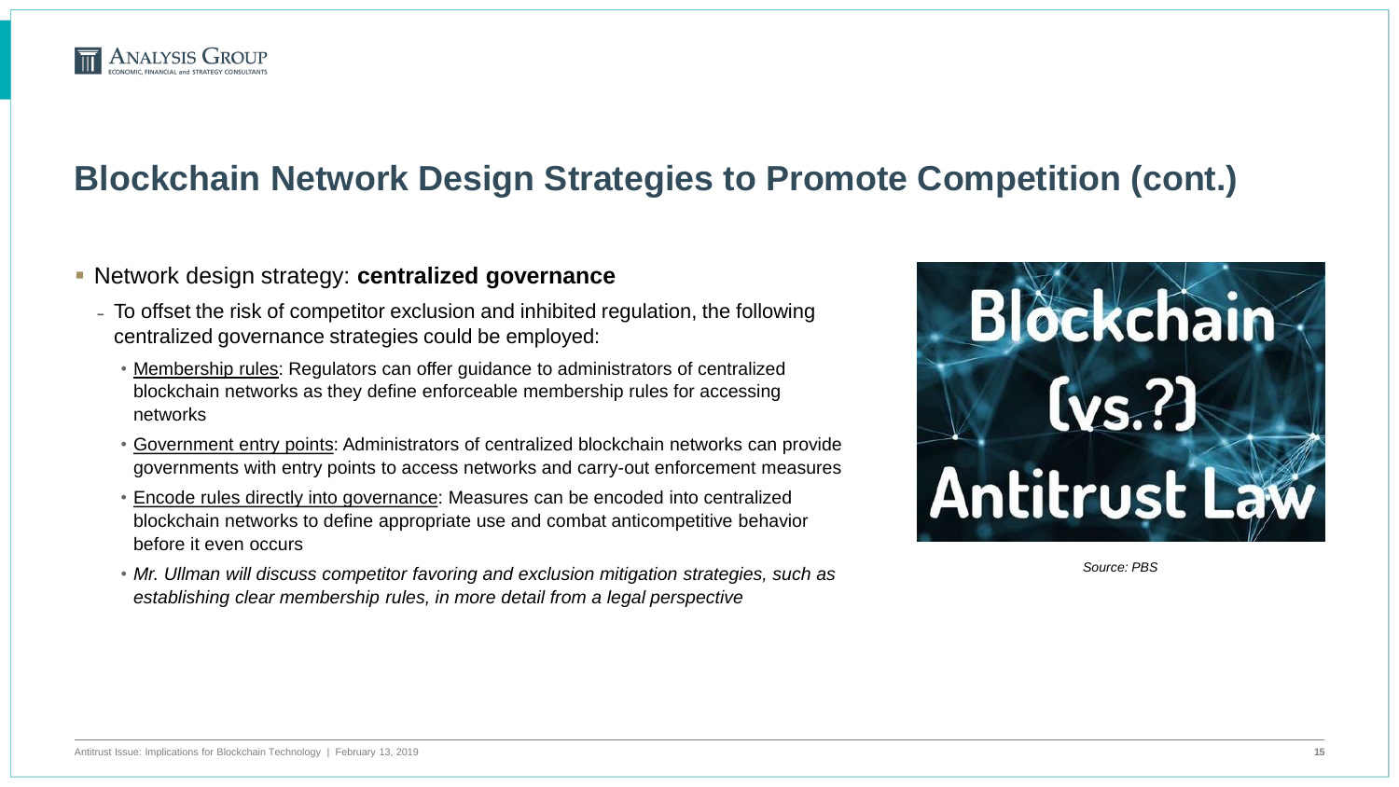

#### Network design strategy: **centralized governance**

- To offset the risk of competitor exclusion and inhibited regulation, the following centralized governance strategies could be employed:
	- Membership rules: Regulators can offer guidance to administrators of centralized blockchain networks as they define enforceable membership rules for accessing networks
	- Government entry points: Administrators of centralized blockchain networks can provide governments with entry points to access networks and carry-out enforcement measures
	- Encode rules directly into governance: Measures can be encoded into centralized blockchain networks to define appropriate use and combat anticompetitive behavior before it even occurs
	- *Mr. Ullman will discuss competitor favoring and exclusion mitigation strategies, such as establishing clear membership rules, in more detail from a legal perspective*

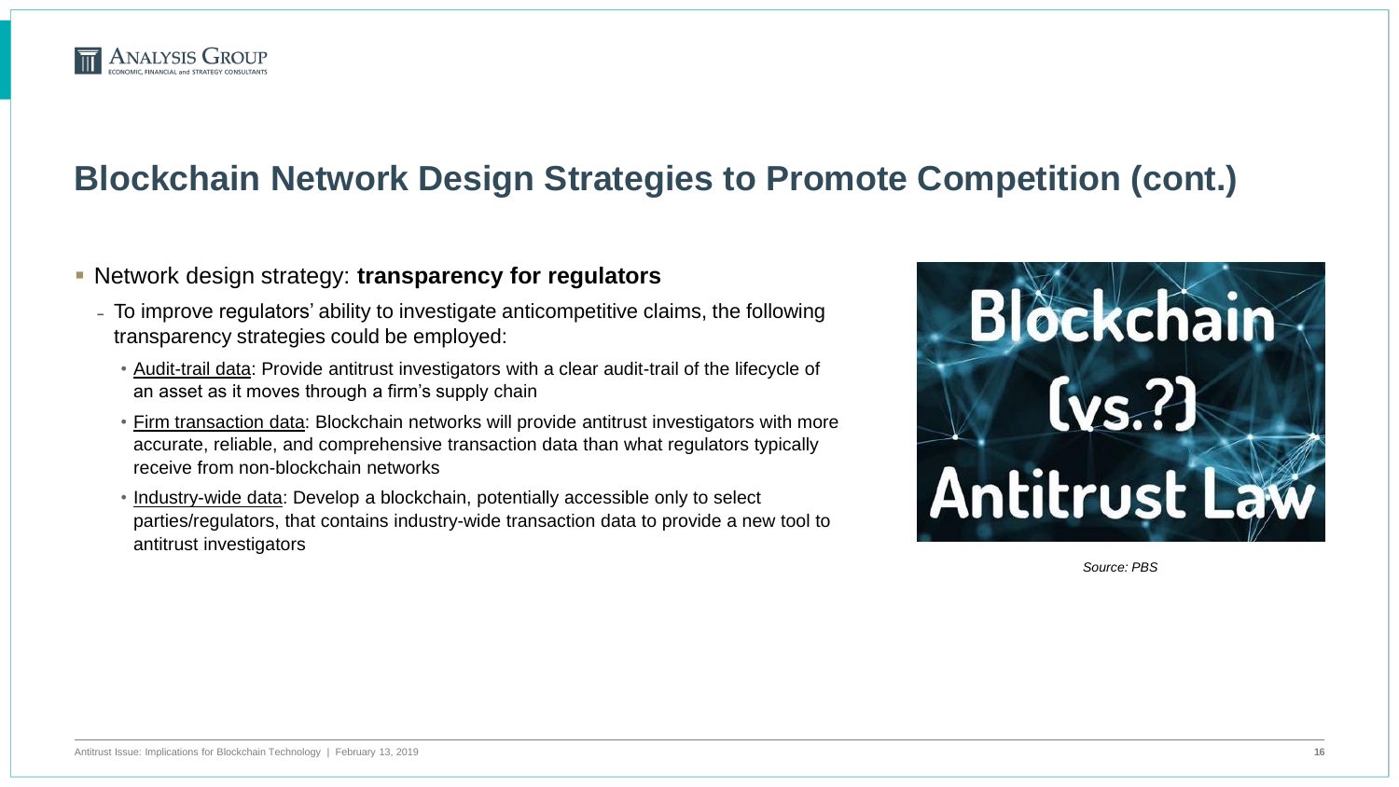

#### Network design strategy: **transparency for regulators**

- To improve regulators' ability to investigate anticompetitive claims, the following transparency strategies could be employed:
	- Audit-trail data: Provide antitrust investigators with a clear audit-trail of the lifecycle of an asset as it moves through a firm's supply chain
	- Firm transaction data: Blockchain networks will provide antitrust investigators with more accurate, reliable, and comprehensive transaction data than what regulators typically receive from non-blockchain networks
	- Industry-wide data: Develop a blockchain, potentially accessible only to select parties/regulators, that contains industry-wide transaction data to provide a new tool to antitrust investigators